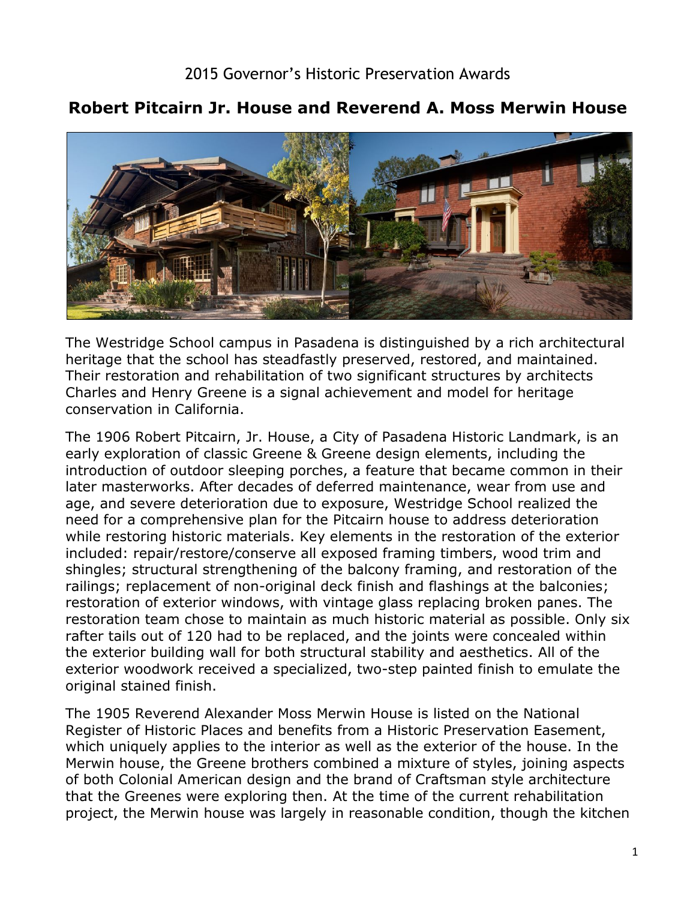

## **Robert Pitcairn Jr. House and Reverend A. Moss Merwin House**

The Westridge School campus in Pasadena is distinguished by a rich architectural heritage that the school has steadfastly preserved, restored, and maintained. Their restoration and rehabilitation of two significant structures by architects Charles and Henry Greene is a signal achievement and model for heritage conservation in California.

 the exterior building wall for both structural stability and aesthetics. All of the The 1906 Robert Pitcairn, Jr. House, a City of Pasadena Historic Landmark, is an early exploration of classic Greene & Greene design elements, including the introduction of outdoor sleeping porches, a feature that became common in their later masterworks. After decades of deferred maintenance, wear from use and age, and severe deterioration due to exposure, Westridge School realized the need for a comprehensive plan for the Pitcairn house to address deterioration while restoring historic materials. Key elements in the restoration of the exterior included: repair/restore/conserve all exposed framing timbers, wood trim and shingles; structural strengthening of the balcony framing, and restoration of the railings; replacement of non-original deck finish and flashings at the balconies; restoration of exterior windows, with vintage glass replacing broken panes. The restoration team chose to maintain as much historic material as possible. Only six rafter tails out of 120 had to be replaced, and the joints were concealed within exterior woodwork received a specialized, two-step painted finish to emulate the original stained finish.

The 1905 Reverend Alexander Moss Merwin House is listed on the National Register of Historic Places and benefits from a Historic Preservation Easement, which uniquely applies to the interior as well as the exterior of the house. In the Merwin house, the Greene brothers combined a mixture of styles, joining aspects of both Colonial American design and the brand of Craftsman style architecture that the Greenes were exploring then. At the time of the current rehabilitation project, the Merwin house was largely in reasonable condition, though the kitchen